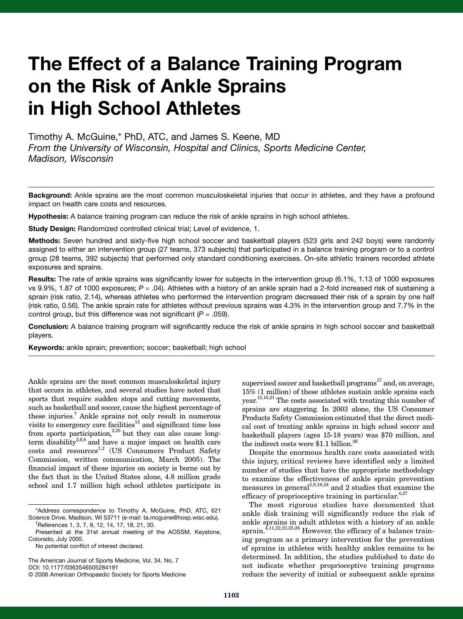# **The Effect of a Balance Training Program on the Risk of Ankle Sprains in High School Athletes**

Timothy A. McGuine,\* PhD, ATC, and James S. Keene, MD *From the University of Wisconsin, Hospital and Clinics, Sports Medicine Center, Madison, Wisconsin*

**Background:** Ankle sprains are the most common musculoskeletal injuries that occur in athletes, and they have a profound impact on health care costs and resources.

**Hypothesis:** A balance training program can reduce the risk of ankle sprains in high school athletes.

**Study Design:** Randomized controlled clinical trial; Level of evidence, 1.

**Methods:** Seven hundred and sixty-five high school soccer and basketball players (523 girls and 242 boys) were randomly assigned to either an intervention group (27 teams, 373 subjects) that participated in a balance training program or to a control group (28 teams, 392 subjects) that performed only standard conditioning exercises. On-site athletic trainers recorded athlete exposures and sprains.

**Results:** The rate of ankle sprains was significantly lower for subjects in the intervention group (6.1%, 1.13 of 1000 exposures vs 9.9%, 1.87 of 1000 exposures; *P* = .04). Athletes with a history of an ankle sprain had a 2-fold increased risk of sustaining a sprain (risk ratio, 2.14), whereas athletes who performed the intervention program decreased their risk of a sprain by one half (risk ratio, 0.56). The ankle sprain rate for athletes without previous sprains was 4.3% in the intervention group and 7.7% in the control group, but this difference was not significant  $(P = .059)$ .

**Conclusion:** A balance training program will significantly reduce the risk of ankle sprains in high school soccer and basketball players.

**Keywords:** ankle sprain; prevention; soccer; basketball; high school

Ankle sprains are the most common musculoskeletal injury that occurs in athletes, and several studies have noted that sports that require sudden stops and cutting movements, such as basketball and soccer, cause the highest percentage of these injuries.† Ankle sprains not only result in numerous visits to emergency care facilities<sup>13</sup> and significant time loss from sports participation,  $2,25$  but they can also cause longterm disability $^{2,6,8}$  and have a major impact on health care  $costs$  and  $resources<sup>1,2</sup>$  (US Consumers Product Safety Commission, written communication, March 2005). The financial impact of these injuries on society is borne out by the fact that in the United States alone, 4.8 million grade school and 1.7 million high school athletes participate in

The American Journal of Sports Medicine, Vol. 34, No. 7 DOI: 10.1177/0363546505284191

supervised soccer and basketball programs<sup>17</sup> and, on average, 15% (1 million) of these athletes sustain ankle sprains each year.<sup>12,18,21</sup> The costs associated with treating this number of sprains are staggering. In 2003 alone, the US Consumer Products Safety Commission estimated that the direct medical cost of treating ankle sprains in high school soccer and basketball players (ages 15-18 years) was \$70 million, and the indirect costs were  $$1.1$  billion.<sup>26</sup>

Despite the enormous health care costs associated with this injury, critical reviews have identified only a limited number of studies that have the appropriate methodology to examine the effectiveness of ankle sprain prevention measures in general<sup>3,9,16,24</sup> and 2 studies that examine the efficacy of proprioceptive training in particular. $4,27$ 

The most rigorous studies have documented that ankle disk training will significantly reduce the risk of ankle sprains in adult athletes with a history of an ankle sprain.<sup>4,11,22,23,25,26</sup> However, the efficacy of a balance training program as a primary intervention for the prevention of sprains in athletes with healthy ankles remains to be determined. In addition, the studies published to date do not indicate whether proprioceptive training programs reduce the severity of initial or subsequent ankle sprains

<sup>\*</sup>Address correspondence to Timothy A. McGuine, PhD, ATC, 621 Science Drive, Madison, WI 53711 (e-mail: ta.mcguine@hosp.wisc.edu). † <sup>†</sup>References 1, 3, 7, 9, 12, 14, 17, 18, 21, 30.

Presented at the 31st annual meeting of the AOSSM, Keystone, Colorado, July 2005.

No potential conflict of interest declared.

<sup>© 2006</sup> American Orthopaedic Society for Sports Medicine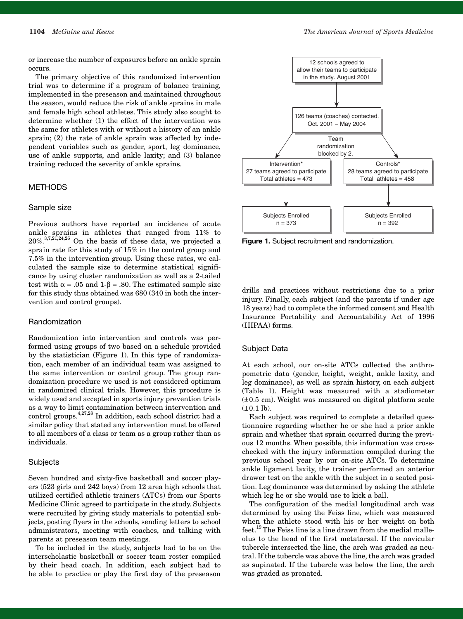or increase the number of exposures before an ankle sprain occurs.

The primary objective of this randomized intervention trial was to determine if a program of balance training, implemented in the preseason and maintained throughout the season, would reduce the risk of ankle sprains in male and female high school athletes. This study also sought to determine whether (1) the effect of the intervention was the same for athletes with or without a history of an ankle sprain; (2) the rate of ankle sprain was affected by independent variables such as gender, sport, leg dominance, use of ankle supports, and ankle laxity; and (3) balance training reduced the severity of ankle sprains.

### **METHODS**

#### Sample size

Previous authors have reported an incidence of acute ankle sprains in athletes that ranged from 11% to 20%.3,7,21,24,26 On the basis of these data, we projected a sprain rate for this study of 15% in the control group and 7.5% in the intervention group. Using these rates, we calculated the sample size to determine statistical significance by using cluster randomization as well as a 2-tailed test with  $α = .05$  and  $1-β = .80$ . The estimated sample size for this study thus obtained was 680 (340 in both the intervention and control groups).

#### Randomization

Randomization into intervention and controls was performed using groups of two based on a schedule provided by the statistician (Figure 1). In this type of randomization, each member of an individual team was assigned to the same intervention or control group. The group randomization procedure we used is not considered optimum in randomized clinical trials. However, this procedure is widely used and accepted in sports injury prevention trials as a way to limit contamination between intervention and control groups.4,27,28 In addition, each school district had a similar policy that stated any intervention must be offered to all members of a class or team as a group rather than as individuals.

#### **Subjects**

Seven hundred and sixty-five basketball and soccer players (523 girls and 242 boys) from 12 area high schools that utilized certified athletic trainers (ATCs) from our Sports Medicine Clinic agreed to participate in the study. Subjects were recruited by giving study materials to potential subjects, posting flyers in the schools, sending letters to school administrators, meeting with coaches, and talking with parents at preseason team meetings.

To be included in the study, subjects had to be on the interscholastic basketball or soccer team roster compiled by their head coach. In addition, each subject had to be able to practice or play the first day of the preseason



**Figure 1.** Subject recruitment and randomization.

drills and practices without restrictions due to a prior injury. Finally, each subject (and the parents if under age 18 years) had to complete the informed consent and Health Insurance Portability and Accountability Act of 1996 (HIPAA) forms.

#### Subject Data

At each school, our on-site ATCs collected the anthropometric data (gender, height, weight, ankle laxity, and leg dominance), as well as sprain history, on each subject (Table 1). Height was measured with a stadiometer (±0.5 cm). Weight was measured on digital platform scale  $(\pm 0.1$  lb).

Each subject was required to complete a detailed questionnaire regarding whether he or she had a prior ankle sprain and whether that sprain occurred during the previous 12 months. When possible, this information was crosschecked with the injury information compiled during the previous school year by our on-site ATCs. To determine ankle ligament laxity, the trainer performed an anterior drawer test on the ankle with the subject in a seated position. Leg dominance was determined by asking the athlete which leg he or she would use to kick a ball.

The configuration of the medial longitudinal arch was determined by using the Feiss line, which was measured when the athlete stood with his or her weight on both feet.<sup>19</sup> The Feiss line is a line drawn from the medial malleolus to the head of the first metatarsal. If the navicular tubercle intersected the line, the arch was graded as neutral. If the tubercle was above the line, the arch was graded as supinated. If the tubercle was below the line, the arch was graded as pronated.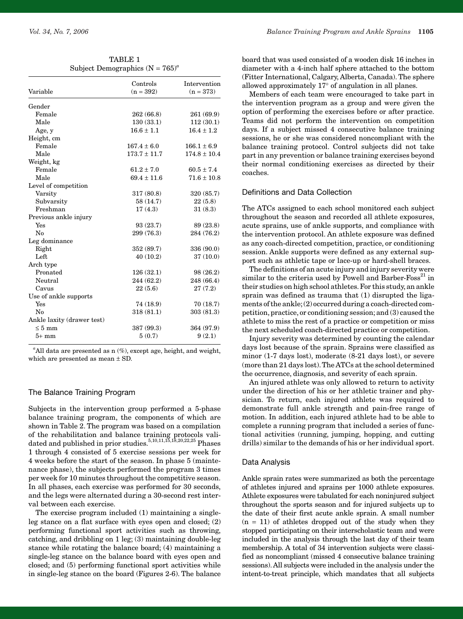| TABLE 1                            |
|------------------------------------|
| Subject Demographics $(N = 765)^a$ |

|                            | Controls         | Intervention     |
|----------------------------|------------------|------------------|
| Variable                   | $(n = 392)$      | $(n = 373)$      |
| Gender                     |                  |                  |
| Female                     | 262(66.8)        | 261(69.9)        |
| Male                       | 130(33.1)        | 112(30.1)        |
| Age, y                     | $16.6 \pm 1.1$   | $16.4 \pm 1.2$   |
| Height, cm                 |                  |                  |
| Female                     | $167.4 \pm 6.0$  | $166.1 \pm 6.9$  |
| Male                       | $173.7 \pm 11.7$ | $174.8 \pm 10.4$ |
| Weight, kg                 |                  |                  |
| Female                     | $61.2 \pm 7.0$   | $60.5 \pm 7.4$   |
| Male                       | $69.4 + 11.6$    | $71.6 \pm 10.8$  |
| Level of competition       |                  |                  |
| Varsity                    | 317(80.8)        | 320 (85.7)       |
| Subvarsity                 | 58 (14.7)        | 22(5.8)          |
| Freshman                   | 17(4.3)          | 31(8.3)          |
| Previous ankle injury      |                  |                  |
| Yes                        | 93 (23.7)        | 89 (23.8)        |
| No                         | 299 (76.3)       | 284 (76.2)       |
| Leg dominance              |                  |                  |
| Right                      | 352 (89.7)       | 336 (90.0)       |
| Left                       | 40(10.2)         | 37(10.0)         |
| Arch type                  |                  |                  |
| Pronated                   | 126(32.1)        | 98 (26.2)        |
| Neutral                    | 244 (62.2)       | 248 (66.4)       |
| Cavus                      | 22(5.6)          | 27(7.2)          |
| Use of ankle supports      |                  |                  |
| Yes                        | 74 (18.9)        | 70(18.7)         |
| No                         | 318(81.1)        | 303(81.3)        |
| Ankle laxity (drawer test) |                  |                  |
| $\leq 5$ mm                | 387 (99.3)       | 364 (97.9)       |
| $5+$ mm                    | 5(0.7)           | 9(2.1)           |

<sup>a</sup>All data are presented as n  $(\%)$ , except age, height, and weight, which are presented as mean ± SD.

# The Balance Training Program

Subjects in the intervention group performed a 5-phase balance training program, the components of which are shown in Table 2. The program was based on a compilation of the rehabilitation and balance training protocols validated and published in prior studies.<sup>5,10,11,15,18,20,22,25</sup> Phases 1 through 4 consisted of 5 exercise sessions per week for 4 weeks before the start of the season. In phase 5 (maintenance phase), the subjects performed the program 3 times per week for 10 minutes throughout the competitive season. In all phases, each exercise was performed for 30 seconds, and the legs were alternated during a 30-second rest interval between each exercise.

The exercise program included (1) maintaining a singleleg stance on a flat surface with eyes open and closed; (2) performing functional sport activities such as throwing, catching, and dribbling on 1 leg; (3) maintaining double-leg stance while rotating the balance board; (4) maintaining a single-leg stance on the balance board with eyes open and closed; and (5) performing functional sport activities while in single-leg stance on the board (Figures 2-6). The balance

board that was used consisted of a wooden disk 16 inches in diameter with a 4-inch half sphere attached to the bottom (Fitter International, Calgary, Alberta, Canada). The sphere allowed approximately 17° of angulation in all planes.

Members of each team were encouraged to take part in the intervention program as a group and were given the option of performing the exercises before or after practice. Teams did not perform the intervention on competition days. If a subject missed 4 consecutive balance training sessions, he or she was considered noncompliant with the balance training protocol. Control subjects did not take part in any prevention or balance training exercises beyond their normal conditioning exercises as directed by their coaches.

# Definitions and Data Collection

The ATCs assigned to each school monitored each subject throughout the season and recorded all athlete exposures, acute sprains, use of ankle supports, and compliance with the intervention protocol. An athlete exposure was defined as any coach-directed competition, practice, or conditioning session. Ankle supports were defined as any external support such as athletic tape or lace-up or hard-shell braces.

The definitions of an acute injury and injury severity were similar to the criteria used by Powell and Barber-Foss $^{21}$  in their studies on high school athletes.For this study,an ankle sprain was defined as trauma that (1) disrupted the ligaments of the ankle;(2) occurred during a coach-directed competition, practice, or conditioning session; and (3) caused the athlete to miss the rest of a practice or competition or miss the next scheduled coach-directed practice or competition.

Injury severity was determined by counting the calendar days lost because of the sprain. Sprains were classified as minor (1-7 days lost), moderate (8-21 days lost), or severe (more than 21 days lost).The ATCs at the school determined the occurrence, diagnosis, and severity of each sprain.

An injured athlete was only allowed to return to activity under the direction of his or her athletic trainer and physician. To return, each injured athlete was required to demonstrate full ankle strength and pain-free range of motion. In addition, each injured athlete had to be able to complete a running program that included a series of functional activities (running, jumping, hopping, and cutting drills) similar to the demands of his or her individual sport.

## Data Analysis

Ankle sprain rates were summarized as both the percentage of athletes injured and sprains per 1000 athlete exposures. Athlete exposures were tabulated for each noninjured subject throughout the sports season and for injured subjects up to the date of their first acute ankle sprain. A small number  $(n = 11)$  of athletes dropped out of the study when they stopped participating on their interscholastic team and were included in the analysis through the last day of their team membership. A total of 34 intervention subjects were classified as noncompliant (missed 4 consecutive balance training sessions).All subjects were included in the analysis under the intent-to-treat principle, which mandates that all subjects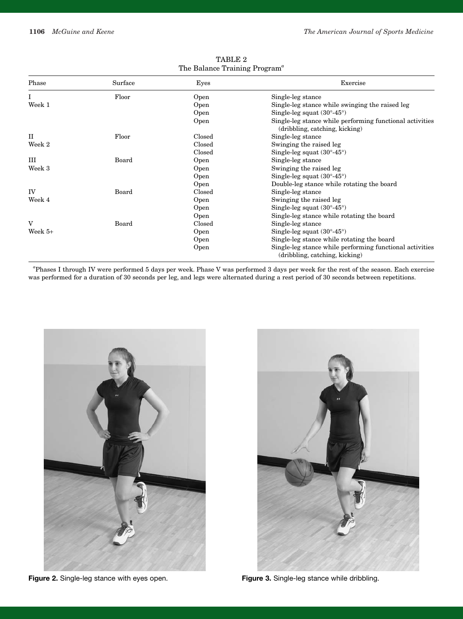| Phase        | Surface | Eyes   | Exercise                                                                                   |
|--------------|---------|--------|--------------------------------------------------------------------------------------------|
| I            | Floor   | Open   | Single-leg stance                                                                          |
| Week 1       |         | Open   | Single-leg stance while swinging the raised leg                                            |
|              |         | Open   | Single-leg squat $(30^{\circ} - 45^{\circ})$                                               |
|              |         | Open   | Single-leg stance while performing functional activities<br>(dribbling, catching, kicking) |
| $_{\rm II}$  | Floor   | Closed | Single-leg stance                                                                          |
| Week 2       |         | Closed | Swinging the raised leg                                                                    |
|              |         | Closed | Single-leg squat $(30^{\circ} - 45^{\circ})$                                               |
| III          | Board   | Open   | Single-leg stance                                                                          |
| Week 3       |         | Open   | Swinging the raised leg                                                                    |
|              |         | Open   | Single-leg squat $(30^{\circ} - 45^{\circ})$                                               |
|              |         | Open   | Double-leg stance while rotating the board                                                 |
| <b>IV</b>    | Board   | Closed | Single-leg stance                                                                          |
| Week 4       |         | Open   | Swinging the raised leg                                                                    |
|              |         | Open   | Single-leg squat $(30^{\circ} - 45^{\circ})$                                               |
|              |         | Open   | Single-leg stance while rotating the board                                                 |
| $\mathbf{V}$ | Board   | Closed | Single-leg stance                                                                          |
| Week $5+$    |         | Open   | Single-leg squat $(30^{\circ} - 45^{\circ})$                                               |
|              |         | Open   | Single-leg stance while rotating the board                                                 |
|              |         | Open   | Single-leg stance while performing functional activities<br>(dribbling, catching, kicking) |

| TABLE 2                                   |
|-------------------------------------------|
| The Balance Training Program <sup>a</sup> |

*a* Phases I through IV were performed 5 days per week. Phase V was performed 3 days per week for the rest of the season. Each exercise was performed for a duration of 30 seconds per leg, and legs were alternated during a rest period of 30 seconds between repetitions.



**Figure 2.** Single-leg stance with eyes open. **Figure 3.** Single-leg stance while dribbling.

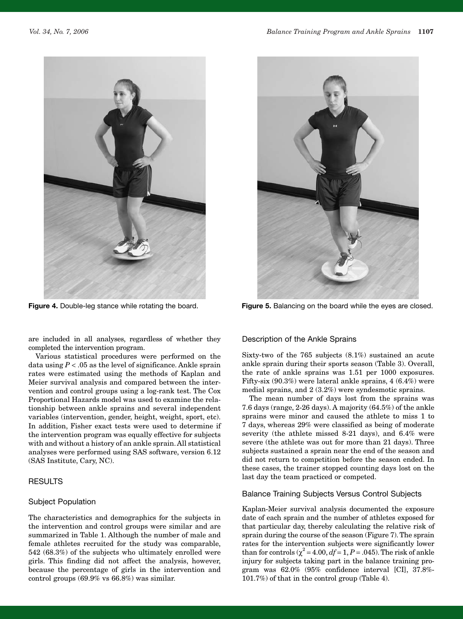

are included in all analyses, regardless of whether they completed the intervention program.

Various statistical procedures were performed on the data using  $P < 0.05$  as the level of significance. Ankle sprain rates were estimated using the methods of Kaplan and Meier survival analysis and compared between the intervention and control groups using a log-rank test. The Cox Proportional Hazards model was used to examine the relationship between ankle sprains and several independent variables (intervention, gender, height, weight, sport, etc). In addition, Fisher exact tests were used to determine if the intervention program was equally effective for subjects with and without a history of an ankle sprain.All statistical analyses were performed using SAS software, version 6.12 (SAS Institute, Cary, NC).

# RESULTS

## Subject Population

The characteristics and demographics for the subjects in the intervention and control groups were similar and are summarized in Table 1. Although the number of male and female athletes recruited for the study was comparable, 542 (68.3%) of the subjects who ultimately enrolled were girls. This finding did not affect the analysis, however, because the percentage of girls in the intervention and control groups (69.9% vs 66.8%) was similar.



**Figure 4.** Double-leg stance while rotating the board. **Figure 5.** Balancing on the board while the eyes are closed.

## Description of the Ankle Sprains

Sixty-two of the 765 subjects (8.1%) sustained an acute ankle sprain during their sports season (Table 3). Overall, the rate of ankle sprains was 1.51 per 1000 exposures. Fifty-six (90.3%) were lateral ankle sprains, 4 (6.4%) were medial sprains, and 2 (3.2%) were syndesmotic sprains.

The mean number of days lost from the sprains was 7.6 days (range, 2-26 days). A majority (64.5%) of the ankle sprains were minor and caused the athlete to miss 1 to 7 days, whereas 29% were classified as being of moderate severity (the athlete missed 8-21 days), and 6.4% were severe (the athlete was out for more than 21 days). Three subjects sustained a sprain near the end of the season and did not return to competition before the season ended. In these cases, the trainer stopped counting days lost on the last day the team practiced or competed.

## Balance Training Subjects Versus Control Subjects

Kaplan-Meier survival analysis documented the exposure date of each sprain and the number of athletes exposed for that particular day, thereby calculating the relative risk of sprain during the course of the season (Figure 7). The sprain rates for the intervention subjects were significantly lower than for controls ( $\chi^2$  = 4.00,  $df = 1$ ,  $P = .045$ ). The risk of ankle injury for subjects taking part in the balance training program was 62.0% (95% confidence interval [CI], 37.8%- 101.7%) of that in the control group (Table 4).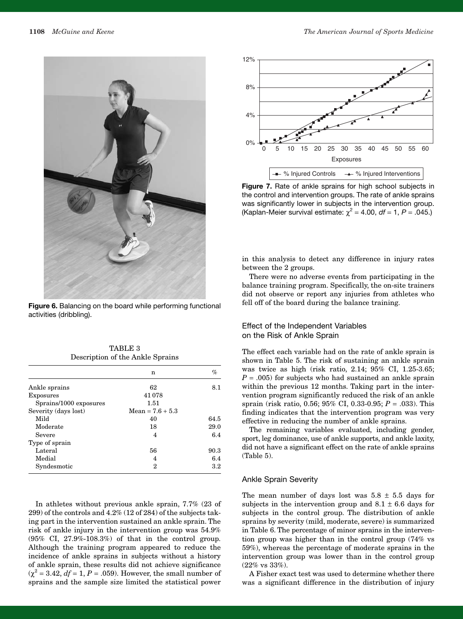

**Figure 6.** Balancing on the board while performing functional activities (dribbling).

| TABLE 3                          |  |  |  |  |  |  |
|----------------------------------|--|--|--|--|--|--|
| Description of the Ankle Sprains |  |  |  |  |  |  |

|                        | n                  | $\%$    |
|------------------------|--------------------|---------|
| Ankle sprains          | 62                 | 8.1     |
| Exposures              | 41 0 78            |         |
| Sprains/1000 exposures | 1.51               |         |
| Severity (days lost)   | Mean = $7.6 + 5.3$ |         |
| Mild                   | 40                 | 64.5    |
| Moderate               | 18                 | 29.0    |
| Severe                 | 4                  | 6.4     |
| Type of sprain         |                    |         |
| Lateral                | 56                 | 90.3    |
| Medial                 | 4                  | 6.4     |
| Syndesmotic            | $\overline{2}$     | $3.2\,$ |

In athletes without previous ankle sprain, 7.7% (23 of 299) of the controls and 4.2% (12 of 284) of the subjects taking part in the intervention sustained an ankle sprain. The risk of ankle injury in the intervention group was 54.9% (95% CI, 27.9%-108.3%) of that in the control group. Although the training program appeared to reduce the incidence of ankle sprains in subjects without a history of ankle sprain, these results did not achieve significance  $(\chi^2 = 3.42, df = 1, P = .059)$ . However, the small number of sprains and the sample size limited the statistical power



**Figure 7.** Rate of ankle sprains for high school subjects in the control and intervention groups. The rate of ankle sprains was significantly lower in subjects in the intervention group. (Kaplan-Meier survival estimate:  $\chi^2 = 4.00$ ,  $df = 1$ ,  $P = .045$ .)

in this analysis to detect any difference in injury rates between the 2 groups.

There were no adverse events from participating in the balance training program. Specifically, the on-site trainers did not observe or report any injuries from athletes who fell off of the board during the balance training.

## Effect of the Independent Variables on the Risk of Ankle Sprain

The effect each variable had on the rate of ankle sprain is shown in Table 5. The risk of sustaining an ankle sprain was twice as high (risk ratio, 2.14; 95% CI, 1.25-3.65;  $P = .005$ ) for subjects who had sustained an ankle sprain within the previous 12 months. Taking part in the intervention program significantly reduced the risk of an ankle sprain (risk ratio, 0.56; 95% CI, 0.33-0.95; *P* = .033). This finding indicates that the intervention program was very effective in reducing the number of ankle sprains.

The remaining variables evaluated, including gender, sport, leg dominance, use of ankle supports, and ankle laxity, did not have a significant effect on the rate of ankle sprains (Table 5).

## Ankle Sprain Severity

The mean number of days lost was  $5.8 \pm 5.5$  days for subjects in the intervention group and  $8.1 \pm 6.6$  days for subjects in the control group. The distribution of ankle sprains by severity (mild, moderate, severe) is summarized in Table 6. The percentage of minor sprains in the intervention group was higher than in the control group (74% vs 59%), whereas the percentage of moderate sprains in the intervention group was lower than in the control group (22% vs 33%).

A Fisher exact test was used to determine whether there was a significant difference in the distribution of injury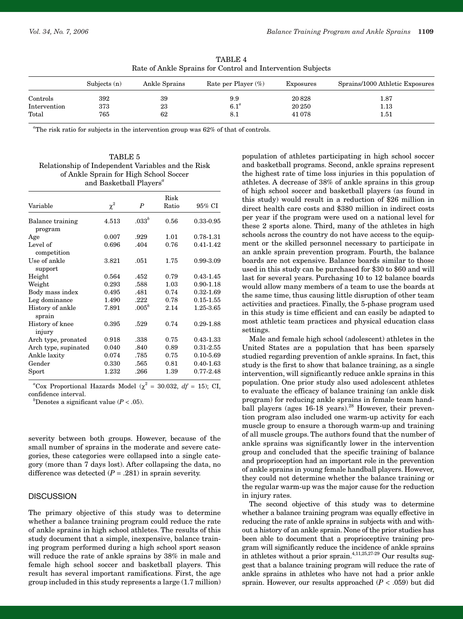TABLE 4 Rate of Ankle Sprains for Control and Intervention Subjects

|              | Subjects $(n)$ | Ankle Sprains | Rate per Player $(\%)$ | Exposures | Sprains/1000 Athletic Exposures |
|--------------|----------------|---------------|------------------------|-----------|---------------------------------|
| Controls     | 392            | 39            | 9.9                    | 20828     | 1.87                            |
| Intervention | 373            | 23            | $6.1^a$                | 20 250    | 1.13                            |
| Total        | 765            | 62            | 8.1                    | 41078     | 1.51                            |

<sup>a</sup>The risk ratio for subjects in the intervention group was 62% of that of controls.

| TABLE 5                                            |
|----------------------------------------------------|
| Relationship of Independent Variables and the Risk |
| of Ankle Sprain for High School Soccer             |
| and Basketball Players"                            |

|                             |          |                  | Risk  |               |
|-----------------------------|----------|------------------|-------|---------------|
| Variable                    | $\chi^2$ | $\boldsymbol{P}$ | Ratio | 95% CI        |
| Balance training<br>program | 4.513    | $.033^{b}$       | 0.56  | 0.33-0.95     |
| Age                         | 0.007    | .929             | 1.01  | 0.78-1.31     |
| Level of<br>competition     | 0.696    | .404             | 0.76  | 0.41-1.42     |
| Use of ankle<br>support     | 3.821    | .051             | 1.75  | 0.99-3.09     |
| Height                      | 0.564    | .452             | 0.79  | $0.43 - 1.45$ |
| Weight                      | 0.293    | .588             | 1.03  | $0.90 - 1.18$ |
| Body mass index             | 0.495    | .481             | 0.74  | $0.32 - 1.69$ |
| Leg dominance               | 1.490    | .222             | 0.78  | $0.15 - 1.55$ |
| History of ankle<br>sprain  | 7.891    | $.005^b$         | 2.14  | 1.25-3.65     |
| History of knee<br>injury   | 0.395    | .529             | 0.74  | $0.29 - 1.88$ |
| Arch type, pronated         | 0.918    | .338             | 0.75  | $0.43 - 1.33$ |
| Arch type, supinated        | 0.040    | .840             | 0.89  | 0.31-2.55     |
| Ankle laxity                | 0.074    | .785             | 0.75  | $0.10 - 5.69$ |
| Gender                      | 0.330    | .565             | 0.81  | $0.40 - 1.63$ |
| Sport                       | 1.232    | .266             | 1.39  | 0.77-2.48     |

 ${}^a$ Cox Proportional Hazards Model ( $\chi^2$  = 30.032, *df* = 15); CI, confidence interval.

 $b$ Denotes a significant value ( $P < .05$ ).

severity between both groups. However, because of the small number of sprains in the moderate and severe categories, these categories were collapsed into a single category (more than 7 days lost). After collapsing the data, no difference was detected  $(P = .281)$  in sprain severity.

#### **DISCUSSION**

The primary objective of this study was to determine whether a balance training program could reduce the rate of ankle sprains in high school athletes. The results of this study document that a simple, inexpensive, balance training program performed during a high school sport season will reduce the rate of ankle sprains by 38% in male and female high school soccer and basketball players. This result has several important ramifications. First, the age group included in this study represents a large (1.7 million)

population of athletes participating in high school soccer and basketball programs. Second, ankle sprains represent the highest rate of time loss injuries in this population of athletes. A decrease of 38% of ankle sprains in this group of high school soccer and basketball players (as found in this study) would result in a reduction of \$26 million in direct health care costs and \$380 million in indirect costs per year if the program were used on a national level for these 2 sports alone. Third, many of the athletes in high schools across the country do not have access to the equipment or the skilled personnel necessary to participate in an ankle sprain prevention program. Fourth, the balance boards are not expensive. Balance boards similar to those used in this study can be purchased for \$30 to \$60 and will last for several years. Purchasing 10 to 12 balance boards would allow many members of a team to use the boards at the same time, thus causing little disruption of other team activities and practices. Finally, the 5-phase program used in this study is time efficient and can easily be adapted to most athletic team practices and physical education class settings.

Male and female high school (adolescent) athletes in the United States are a population that has been sparsely studied regarding prevention of ankle sprains. In fact, this study is the first to show that balance training, as a single intervention, will significantly reduce ankle sprains in this population. One prior study also used adolescent athletes to evaluate the efficacy of balance training (an ankle disk program) for reducing ankle sprains in female team handball players (ages 16-18 years).<sup>28</sup> However, their prevention program also included one warm-up activity for each muscle group to ensure a thorough warm-up and training of all muscle groups. The authors found that the number of ankle sprains was significantly lower in the intervention group and concluded that the specific training of balance and proprioception had an important role in the prevention of ankle sprains in young female handball players. However, they could not determine whether the balance training or the regular warm-up was the major cause for the reduction in injury rates.

The second objective of this study was to determine whether a balance training program was equally effective in reducing the rate of ankle sprains in subjects with and without a history of an ankle sprain. None of the prior studies has been able to document that a proprioceptive training program will significantly reduce the incidence of ankle sprains in athletes without a prior sprain.<sup>4,11,25,27-29</sup> Our results suggest that a balance training program will reduce the rate of ankle sprains in athletes who have not had a prior ankle sprain. However, our results approached (*P* < .059) but did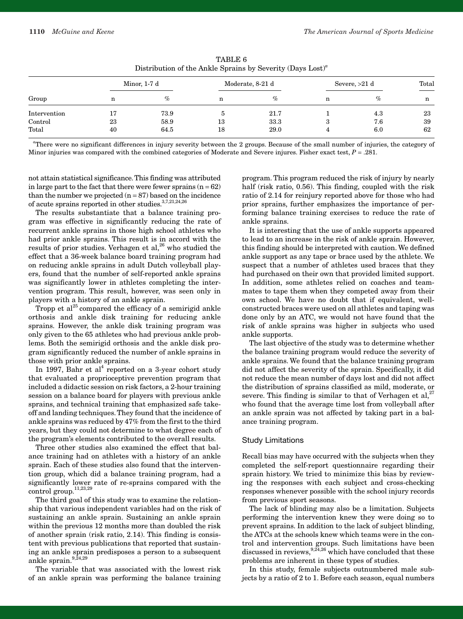|              |              | .    |    |                  |  |                 |                    |
|--------------|--------------|------|----|------------------|--|-----------------|--------------------|
| Group        | Minor, 1-7 d |      |    | Moderate, 8-21 d |  | Severe, $>21$ d |                    |
|              |              | $\%$ | n  | $\%$             |  | %               | $\sim$ $\sim$<br>n |
| Intervention |              | 73.9 | :D | 21.7             |  | 4.3             | 23                 |
| Control      | 23           | 58.9 | 13 | 33.3             |  | 7.6             | 39                 |
| Total        | 40           | 64.5 | 18 | 29.0             |  | 6.0             | 62                 |

TABLE 6 Distribution of the Ankle Sprains by Severity (Days Lost)*<sup>a</sup>*

*a* There were no significant differences in injury severity between the 2 groups. Because of the small number of injuries, the category of Minor injuries was compared with the combined categories of Moderate and Severe injures. Fisher exact test, *P* = .281.

not attain statistical significance.This finding was attributed in large part to the fact that there were fewer sprains  $(n = 62)$ than the number we projected  $(n = 87)$  based on the incidence of acute sprains reported in other studies.<sup>3,7,21,24,26</sup>

The results substantiate that a balance training program was effective in significantly reducing the rate of recurrent ankle sprains in those high school athletes who had prior ankle sprains. This result is in accord with the results of prior studies. Verhagen et al, $^{26}$  who studied the effect that a 36-week balance board training program had on reducing ankle sprains in adult Dutch volleyball players, found that the number of self-reported ankle sprains was significantly lower in athletes completing the intervention program. This result, however, was seen only in players with a history of an ankle sprain.

Tropp et al<sup>25</sup> compared the efficacy of a semirigid ankle orthosis and ankle disk training for reducing ankle sprains. However, the ankle disk training program was only given to the 65 athletes who had previous ankle problems. Both the semirigid orthosis and the ankle disk program significantly reduced the number of ankle sprains in those with prior ankle sprains.

In 1997, Bahr et al<sup>4</sup> reported on a 3-year cohort study that evaluated a proprioceptive prevention program that included a didactic session on risk factors, a 2-hour training session on a balance board for players with previous ankle sprains, and technical training that emphasized safe takeoff and landing techniques.They found that the incidence of ankle sprains was reduced by 47% from the first to the third years, but they could not determine to what degree each of the program's elements contributed to the overall results.

Three other studies also examined the effect that balance training had on athletes with a history of an ankle sprain. Each of these studies also found that the intervention group, which did a balance training program, had a significantly lower rate of re-sprains compared with the control group.  $\frac{11,23,29}{2}$ 

The third goal of this study was to examine the relationship that various independent variables had on the risk of sustaining an ankle sprain. Sustaining an ankle sprain within the previous 12 months more than doubled the risk of another sprain (risk ratio, 2.14). This finding is consistent with previous publications that reported that sustaining an ankle sprain predisposes a person to a subsequent ankle sprain. $^{9,24,29}$ 

The variable that was associated with the lowest risk of an ankle sprain was performing the balance training program. This program reduced the risk of injury by nearly half (risk ratio, 0.56). This finding, coupled with the risk ratio of 2.14 for reinjury reported above for those who had prior sprains, further emphasizes the importance of performing balance training exercises to reduce the rate of ankle sprains.

It is interesting that the use of ankle supports appeared to lead to an increase in the risk of ankle sprain. However, this finding should be interpreted with caution. We defined ankle support as any tape or brace used by the athlete. We suspect that a number of athletes used braces that they had purchased on their own that provided limited support. In addition, some athletes relied on coaches and teammates to tape them when they competed away from their own school. We have no doubt that if equivalent, wellconstructed braces were used on all athletes and taping was done only by an ATC, we would not have found that the risk of ankle sprains was higher in subjects who used ankle supports.

The last objective of the study was to determine whether the balance training program would reduce the severity of ankle sprains. We found that the balance training program did not affect the severity of the sprain. Specifically, it did not reduce the mean number of days lost and did not affect the distribution of sprains classified as mild, moderate, or severe. This finding is similar to that of Verhagen et al, $^2$ who found that the average time lost from volleyball after an ankle sprain was not affected by taking part in a balance training program.

# Study Limitations

Recall bias may have occurred with the subjects when they completed the self-report questionnaire regarding their sprain history. We tried to minimize this bias by reviewing the responses with each subject and cross-checking responses whenever possible with the school injury records from previous sport seasons.

The lack of blinding may also be a limitation. Subjects performing the intervention knew they were doing so to prevent sprains. In addition to the lack of subject blinding, the ATCs at the schools knew which teams were in the control and intervention groups. Such limitations have been discussed in reviews,  $^{9,24,26}$  which have concluded that these problems are inherent in these types of studies.

In this study, female subjects outnumbered male subjects by a ratio of 2 to 1. Before each season, equal numbers